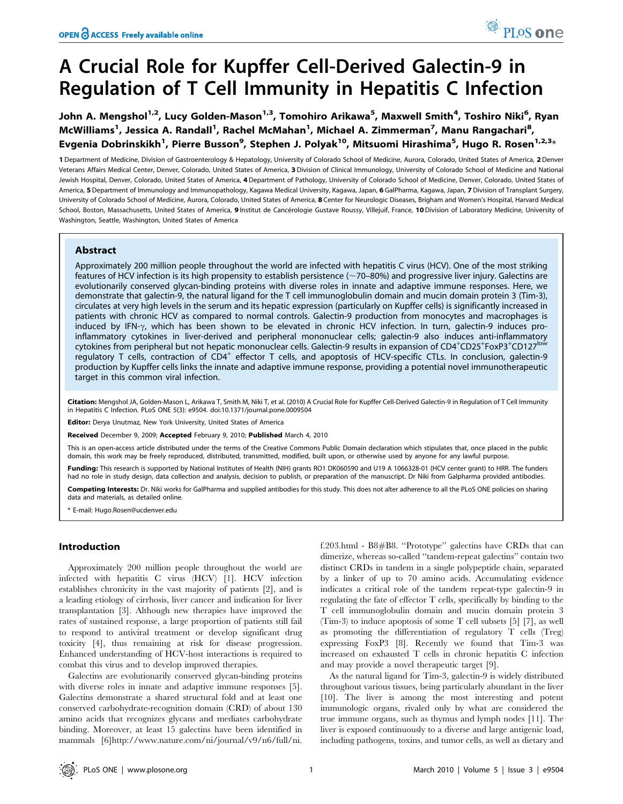# A Crucial Role for Kupffer Cell-Derived Galectin-9 in Regulation of T Cell Immunity in Hepatitis C Infection

John A. Mengshol<sup>1,2</sup>, Lucy Golden-Mason<sup>1,3</sup>, Tomohiro Arikawa<sup>5</sup>, Maxwell Smith<sup>4</sup>, Toshiro Niki<sup>6</sup>, Ryan McWilliams<sup>1</sup>, Jessica A. Randall<sup>1</sup>, Rachel McMahan<sup>1</sup>, Michael A. Zimmerman<sup>7</sup>, Manu Rangachari<sup>8</sup>, Evgenia Dobrinskikh<sup>1</sup>, Pierre Busson<sup>9</sup>, Stephen J. Polyak<sup>10</sup>, Mitsuomi Hirashima<sup>5</sup>, Hugo R. Rosen<sup>1,2,3</sup>\*

1 Department of Medicine, Division of Gastroenterology & Hepatology, University of Colorado School of Medicine, Aurora, Colorado, United States of America, 2 Denver Veterans Affairs Medical Center, Denver, Colorado, United States of America, 3 Division of Clinical Immunology, University of Colorado School of Medicine and National Jewish Hospital, Denver, Colorado, United States of America, 4 Department of Pathology, University of Colorado School of Medicine, Denver, Colorado, United States of America, 5 Department of Immunology and Immunopathology, Kagawa Medical University, Kagawa, Japan, 6 GalPharma, Kagawa, Japan, 7 Division of Transplant Surgery, University of Colorado School of Medicine, Aurora, Colorado, United States of America, 8 Center for Neurologic Diseases, Brigham and Women's Hospital, Harvard Medical School, Boston, Massachusetts, United States of America, 9 Institut de Cancérologie Gustave Roussy, Villejuif, France, 10 Division of Laboratory Medicine, University of Washington, Seattle, Washington, United States of America

## Abstract

Approximately 200 million people throughout the world are infected with hepatitis C virus (HCV). One of the most striking features of HCV infection is its high propensity to establish persistence ( $\sim$ 70–80%) and progressive liver injury. Galectins are evolutionarily conserved glycan-binding proteins with diverse roles in innate and adaptive immune responses. Here, we demonstrate that galectin-9, the natural ligand for the T cell immunoglobulin domain and mucin domain protein 3 (Tim-3), circulates at very high levels in the serum and its hepatic expression (particularly on Kupffer cells) is significantly increased in patients with chronic HCV as compared to normal controls. Galectin-9 production from monocytes and macrophages is induced by IFN-y, which has been shown to be elevated in chronic HCV infection. In turn, galectin-9 induces proinflammatory cytokines in liver-derived and peripheral mononuclear cells; galectin-9 also induces anti-inflammatory cytokines from peripheral but not hepatic mononuclear cells. Galectin-9 results in expansion of CD4+CD25+FoxP3+CD127<sup>low</sup> regulatory T cells, contraction of  $CD4^+$  effector T cells, and apoptosis of HCV-specific CTLs. In conclusion, galectin-9 production by Kupffer cells links the innate and adaptive immune response, providing a potential novel immunotherapeutic target in this common viral infection.

Citation: Mengshol JA, Golden-Mason L, Arikawa T, Smith M, Niki T, et al. (2010) A Crucial Role for Kupffer Cell-Derived Galectin-9 in Regulation of T Cell Immunity in Hepatitis C Infection. PLoS ONE 5(3): e9504. doi:10.1371/journal.pone.0009504

Editor: Derya Unutmaz, New York University, United States of America

Received December 9, 2009; Accepted February 9, 2010; Published March 4, 2010

This is an open-access article distributed under the terms of the Creative Commons Public Domain declaration which stipulates that, once placed in the public domain, this work may be freely reproduced, distributed, transmitted, modified, built upon, or otherwise used by anyone for any lawful purpose.

Funding: This research is supported by National Institutes of Health (NIH) grants RO1 DK060590 and U19 A 1066328-01 (HCV center grant) to HRR. The funders had no role in study design, data collection and analysis, decision to publish, or preparation of the manuscript. Dr Niki from Galpharma provided antibodies.

Competing Interests: Dr. Niki works for GalPharma and supplied antibodies for this study. This does not alter adherence to all the PLoS ONE policies on sharing data and materials, as detailed online.

\* E-mail: Hugo.Rosen@ucdenver.edu

## Introduction

Approximately 200 million people throughout the world are infected with hepatitis C virus (HCV) [1]. HCV infection establishes chronicity in the vast majority of patients [2], and is a leading etiology of cirrhosis, liver cancer and indication for liver transplantation [3]. Although new therapies have improved the rates of sustained response, a large proportion of patients still fail to respond to antiviral treatment or develop significant drug toxicity [4], thus remaining at risk for disease progression. Enhanced understanding of HCV-host interactions is required to combat this virus and to develop improved therapies.

Galectins are evolutionarily conserved glycan-binding proteins with diverse roles in innate and adaptive immune responses [5]. Galectins demonstrate a shared structural fold and at least one conserved carbohydrate-recognition domain (CRD) of about 130 amino acids that recognizes glycans and mediates carbohydrate binding. Moreover, at least 15 galectins have been identified in mammals [6]http://www.nature.com/ni/journal/v9/n6/full/ni. f.203.html - B8#B8. ''Prototype'' galectins have CRDs that can dimerize, whereas so-called ''tandem-repeat galectins'' contain two distinct CRDs in tandem in a single polypeptide chain, separated by a linker of up to 70 amino acids. Accumulating evidence indicates a critical role of the tandem repeat-type galectin-9 in regulating the fate of effector T cells, specifically by binding to the T cell immunoglobulin domain and mucin domain protein 3 (Tim-3) to induce apoptosis of some T cell subsets [5] [7], as well as promoting the differentiation of regulatory T cells (Treg) expressing FoxP3 [8]. Recently we found that Tim-3 was increased on exhausted T cells in chronic hepatitis C infection and may provide a novel therapeutic target [9].

As the natural ligand for Tim-3, galectin-9 is widely distributed throughout various tissues, being particularly abundant in the liver [10]. The liver is among the most interesting and potent immunologic organs, rivaled only by what are considered the true immune organs, such as thymus and lymph nodes [11]. The liver is exposed continuously to a diverse and large antigenic load, including pathogens, toxins, and tumor cells, as well as dietary and

<sup>O</sup> PLoS one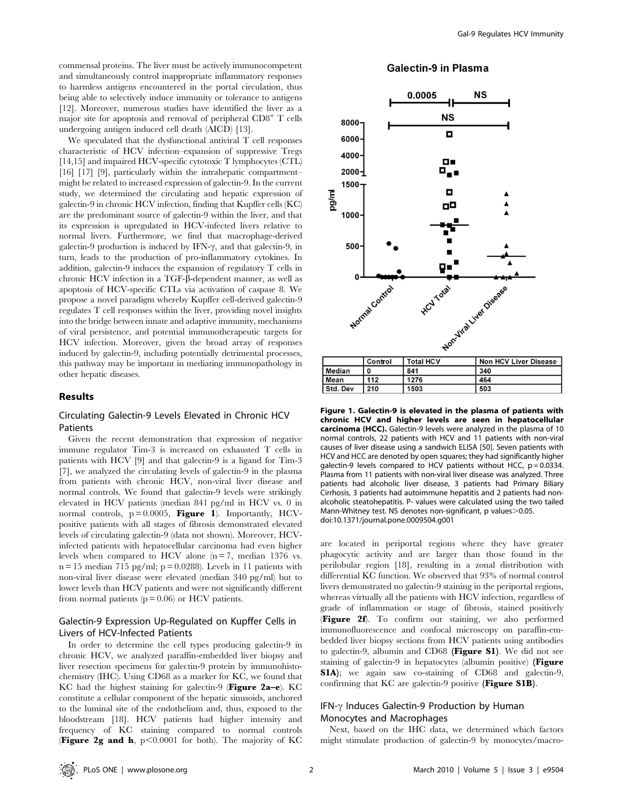commensal proteins. The liver must be actively immunocompetent and simultaneously control inappropriate inflammatory responses to harmless antigens encountered in the portal circulation, thus being able to selectively induce immunity or tolerance to antigens [12]. Moreover, numerous studies have identified the liver as a major site for apoptosis and removal of peripheral CD8<sup>+</sup> T cells undergoing antigen induced cell death (AICD) [13].

We speculated that the dysfunctional antiviral T cell responses characteristic of HCV infection–expansion of suppressive Tregs [14,15] and impaired HCV-specific cytotoxic T lymphocytes (CTL) [16] [17] [9], particularly within the intrahepatic compartment– might be related to increased expression of galectin-9. In the current study, we determined the circulating and hepatic expression of galectin-9 in chronic HCV infection, finding that Kupffer cells (KC) are the predominant source of galectin-9 within the liver, and that its expression is upregulated in HCV-infected livers relative to normal livers. Furthermore, we find that macrophage-derived galectin-9 production is induced by IFN- $\gamma$ , and that galectin-9, in turn, leads to the production of pro-inflammatory cytokines. In addition, galectin-9 induces the expansion of regulatory T cells in chronic HCV infection in a TGF-b-dependent manner, as well as apoptosis of HCV-specific CTLs via activation of caspase 8. We propose a novel paradigm whereby Kupffer cell-derived galectin-9 regulates T cell responses within the liver, providing novel insights into the bridge between innate and adaptive immunity, mechanisms of viral persistence, and potential immunotherapeutic targets for HCV infection. Moreover, given the broad array of responses induced by galectin-9, including potentially detrimental processes, this pathway may be important in mediating immunopathology in other hepatic diseases.

## Results

# Circulating Galectin-9 Levels Elevated in Chronic HCV Patients

Given the recent demonstration that expression of negative immune regulator Tim-3 is increased on exhausted T cells in patients with HCV [9] and that galectin-9 is a ligand for Tim-3 [7], we analyzed the circulating levels of galectin-9 in the plasma from patients with chronic HCV, non-viral liver disease and normal controls. We found that galectin-9 levels were strikingly elevated in HCV patients (median 841 pg/ml in HCV vs. 0 in normal controls,  $p = 0.0005$ , **Figure 1**). Importantly, HCVpositive patients with all stages of fibrosis demonstrated elevated levels of circulating galectin-9 (data not shown). Moreover, HCVinfected patients with hepatocellular carcinoma had even higher levels when compared to HCV alone  $(n = 7, \text{ median } 1376 \text{ vs.}$  $n = 15$  median 715 pg/ml;  $p = 0.0288$ ). Levels in 11 patients with non-viral liver disease were elevated (median 340 pg/ml) but to lower levels than HCV patients and were not significantly different from normal patients ( $p = 0.06$ ) or HCV patients.

# Galectin-9 Expression Up-Regulated on Kupffer Cells in Livers of HCV-Infected Patients

In order to determine the cell types producing galectin-9 in chronic HCV, we analyzed paraffin-embedded liver biopsy and liver resection specimens for galectin-9 protein by immunohistochemistry (IHC). Using CD68 as a marker for KC, we found that KC had the highest staining for galectin-9 (Figure 2a–e). KC constitute a cellular component of the hepatic sinusoids, anchored to the luminal site of the endothelium and, thus, exposed to the bloodstream [18]. HCV patients had higher intensity and frequency of KC staining compared to normal controls (Figure 2g and h,  $p<0.0001$  for both). The majority of KC

# **Galectin-9 in Plasma**



Figure 1. Galectin-9 is elevated in the plasma of patients with chronic HCV and higher levels are seen in hepatocellular carcinoma (HCC). Galectin-9 levels were analyzed in the plasma of 10 normal controls, 22 patients with HCV and 11 patients with non-viral causes of liver disease using a sandwich ELISA [50]. Seven patients with HCV and HCC are denoted by open squares; they had significantly higher galectin-9 levels compared to HCV patients without HCC,  $p = 0.0334$ . Plasma from 11 patients with non-viral liver disease was analyzed. Three patients had alcoholic liver disease, 3 patients had Primary Biliary Cirrhosis, 3 patients had autoimmune hepatitis and 2 patients had nonalcoholic steatohepatitis. P- values were calculated using the two tailed Mann-Whitney test. NS denotes non-significant, p values > 0.05. doi:10.1371/journal.pone.0009504.g001

are located in periportal regions where they have greater phagocytic activity and are larger than those found in the perilobular region [18], resulting in a zonal distribution with differential KC function. We observed that 93% of normal control livers demonstrated no galectin-9 staining in the periportal regions, whereas virtually all the patients with HCV infection, regardless of grade of inflammation or stage of fibrosis, stained positively (Figure 2f). To confirm our staining, we also performed immunofluorescence and confocal microscopy on paraffin-embedded liver biopsy sections from HCV patients using antibodies to galectin-9, albumin and CD68 (Figure S1). We did not see staining of galectin-9 in hepatocytes (albumin positive) (Figure S1A); we again saw co-staining of CD68 and galectin-9, confirming that KC are galectin-9 positive (Figure S1B).

# IFN- $\gamma$  Induces Galectin-9 Production by Human Monocytes and Macrophages

Next, based on the IHC data, we determined which factors might stimulate production of galectin-9 by monocytes/macro-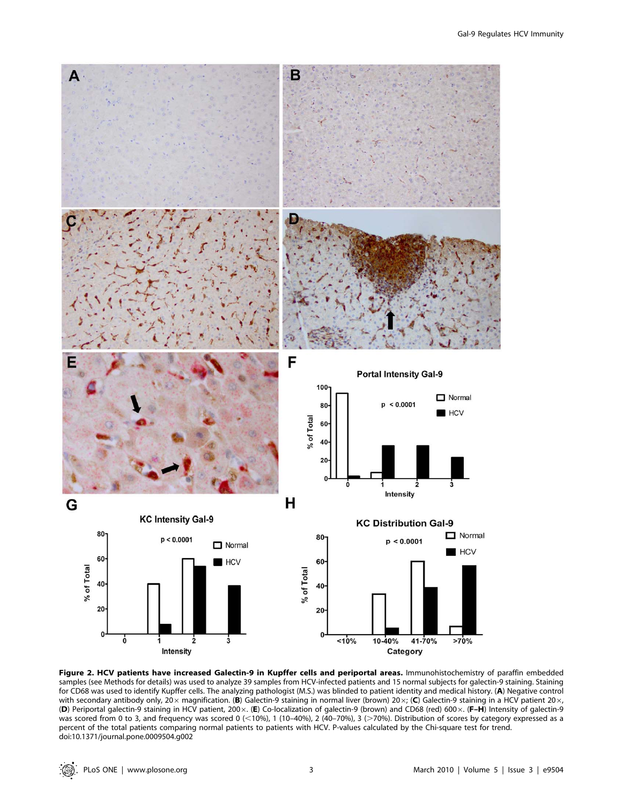

Figure 2. HCV patients have increased Galectin-9 in Kupffer cells and periportal areas. Immunohistochemistry of paraffin embedded samples (see Methods for details) was used to analyze 39 samples from HCV-infected patients and 15 normal subjects for galectin-9 staining. Staining for CD68 was used to identify Kupffer cells. The analyzing pathologist (M.S.) was blinded to patient identity and medical history. (A) Negative control with secondary antibody only, 20 $\times$  magnification. (B) Galectin-9 staining in normal liver (brown) 20 $\times$ ; (C) Galectin-9 staining in a HCV patient 20 $\times$ , (D) Periportal galectin-9 staining in HCV patient, 200x. (E) Co-localization of galectin-9 (brown) and CD68 (red) 600x. (F-H) Intensity of galectin-9 was scored from 0 to 3, and frequency was scored 0 (<10%), 1 (10–40%), 2 (40–70%), 3 (>70%). Distribution of scores by category expressed as a percent of the total patients comparing normal patients to patients with HCV. P-values calculated by the Chi-square test for trend. doi:10.1371/journal.pone.0009504.g002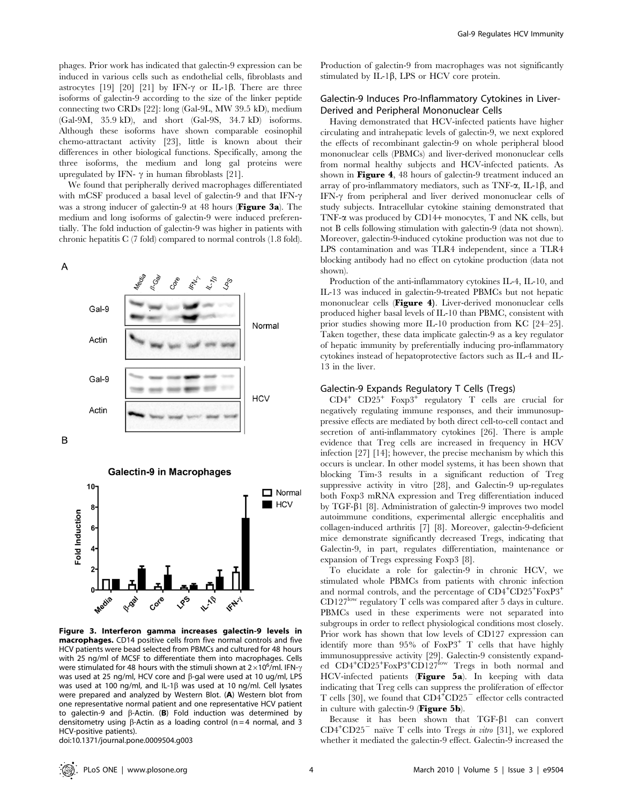phages. Prior work has indicated that galectin-9 expression can be induced in various cells such as endothelial cells, fibroblasts and astrocytes [19] [20] [21] by IFN- $\gamma$  or IL-1 $\beta$ . There are three isoforms of galectin-9 according to the size of the linker peptide connecting two CRDs [22]: long (Gal-9L, MW 39.5 kD), medium (Gal-9M, 35.9 kD), and short (Gal-9S, 34.7 kD) isoforms. Although these isoforms have shown comparable eosinophil chemo-attractant activity [23], little is known about their differences in other biological functions. Specifically, among the three isoforms, the medium and long gal proteins were upregulated by IFN-  $\gamma$  in human fibroblasts [21].

We found that peripherally derived macrophages differentiated with mCSF produced a basal level of galectin-9 and that IFN- $\gamma$ was a strong inducer of galectin-9 at 48 hours (Figure 3a). The medium and long isoforms of galectin-9 were induced preferentially. The fold induction of galectin-9 was higher in patients with chronic hepatitis C (7 fold) compared to normal controls (1.8 fold).

 $\overline{A}$ 







Figure 3. Interferon gamma increases galectin-9 levels in macrophages. CD14 positive cells from five normal controls and five HCV patients were bead selected from PBMCs and cultured for 48 hours with 25 ng/ml of MCSF to differentiate them into macrophages. Cells were stimulated for 48 hours with the stimuli shown at 2 $\times$ 10<sup>6</sup>/ml. IFN- $\gamma$ was used at 25 ng/ml, HCV core and  $\beta$ -gal were used at 10 ug/ml, LPS was used at 100 ng/ml, and IL-1 $\beta$  was used at 10 ng/ml. Cell lysates were prepared and analyzed by Western Blot. (A) Western blot from one representative normal patient and one representative HCV patient to galectin-9 and  $\beta$ -Actin. (B) Fold induction was determined by densitometry using  $\beta$ -Actin as a loading control (n = 4 normal, and 3 HCV-positive patients).

doi:10.1371/journal.pone.0009504.g003

Production of galectin-9 from macrophages was not significantly stimulated by IL-1 $\beta$ , LPS or HCV core protein.

# Galectin-9 Induces Pro-Inflammatory Cytokines in Liver-Derived and Peripheral Mononuclear Cells

Having demonstrated that HCV-infected patients have higher circulating and intrahepatic levels of galectin-9, we next explored the effects of recombinant galectin-9 on whole peripheral blood mononuclear cells (PBMCs) and liver-derived mononuclear cells from normal healthy subjects and HCV-infected patients. As shown in **Figure 4**, 48 hours of galectin-9 treatment induced an array of pro-inflammatory mediators, such as  $TNF-\alpha$ , IL-1 $\beta$ , and IFN- $\gamma$  from peripheral and liver derived mononuclear cells of study subjects. Intracellular cytokine staining demonstrated that TNF-a was produced by CD14+ monocytes, T and NK cells, but not B cells following stimulation with galectin-9 (data not shown). Moreover, galectin-9-induced cytokine production was not due to LPS contamination and was TLR4 independent, since a TLR4 blocking antibody had no effect on cytokine production (data not shown).

Production of the anti-inflammatory cytokines IL-4, IL-10, and IL-13 was induced in galectin-9-treated PBMCs but not hepatic mononuclear cells (Figure 4). Liver-derived mononuclear cells produced higher basal levels of IL-10 than PBMC, consistent with prior studies showing more IL-10 production from KC [24–25]. Taken together, these data implicate galectin-9 as a key regulator of hepatic immunity by preferentially inducing pro-inflammatory cytokines instead of hepatoprotective factors such as IL-4 and IL-13 in the liver.

## Galectin-9 Expands Regulatory T Cells (Tregs)

CD4<sup>+</sup> CD25<sup>+</sup> Foxp3<sup>+</sup> regulatory T cells are crucial for negatively regulating immune responses, and their immunosuppressive effects are mediated by both direct cell-to-cell contact and secretion of anti-inflammatory cytokines [26]. There is ample evidence that Treg cells are increased in frequency in HCV infection [27] [14]; however, the precise mechanism by which this occurs is unclear. In other model systems, it has been shown that blocking Tim-3 results in a significant reduction of Treg suppressive activity in vitro [28], and Galectin-9 up-regulates both Foxp3 mRNA expression and Treg differentiation induced by TGF-b1 [8]. Administration of galectin-9 improves two model autoimmune conditions, experimental allergic encephalitis and collagen-induced arthritis [7] [8]. Moreover, galectin-9-deficient mice demonstrate significantly decreased Tregs, indicating that Galectin-9, in part, regulates differentiation, maintenance or expansion of Tregs expressing Foxp3 [8].

To elucidate a role for galectin-9 in chronic HCV, we stimulated whole PBMCs from patients with chronic infection and normal controls, and the percentage of CD4<sup>+</sup>CD25<sup>+</sup>FoxP3<sup>+</sup> CD127<sup>low</sup> regulatory T cells was compared after 5 days in culture. PBMCs used in these experiments were not separated into subgroups in order to reflect physiological conditions most closely. Prior work has shown that low levels of CD127 expression can identify more than  $95\%$  of  $FoxP3$ <sup>+</sup> T cells that have highly immunosuppressive activity [29]. Galectin-9 consistently expanded CD4<sup>+</sup>CD25<sup>+</sup>FoxP3<sup>+</sup>CD127<sup>low</sup> Tregs in both normal and HCV-infected patients (Figure 5a). In keeping with data indicating that Treg cells can suppress the proliferation of effector T cells [30], we found that  $CD4+CD25$ <sup>-</sup> effector cells contracted in culture with galectin-9 (Figure 5b).

Because it has been shown that  $TGF- $\beta$ 1 can convert$  $CD4+CD25$ <sup>-</sup> naïve T cells into Tregs in vitro [31], we explored whether it mediated the galectin-9 effect. Galectin-9 increased the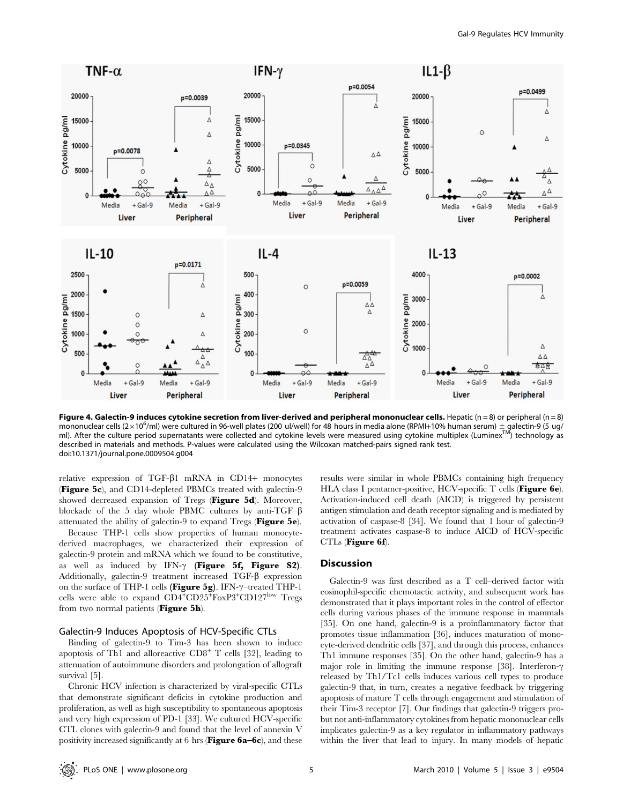

Figure 4. Galectin-9 induces cytokine secretion from liver-derived and peripheral mononuclear cells. Hepatic (n = 8) or peripheral (n = 8) mononuclear cells (2×10<sup>6</sup>/ml) were cultured in 96-well plates (200 ul/well) for 48 hours in media alone (RPMI+10% human serum) ± galectin-9 (5 ug/ ml). After the culture period supernatants were collected and cytokine levels were measured using cytokine multiplex (Luminex<sup>TM</sup>) technology as described in materials and methods. P-values were calculated using the Wilcoxan matched-pairs signed rank test. doi:10.1371/journal.pone.0009504.g004

relative expression of TGF-b1 mRNA in CD14+ monocytes **(Figure 5c)**, and CD14-depleted PBMCs treated with galectin-9 showed decreased expansion of Tregs (Figure 5d). Moreover, blockade of the 5 day whole PBMC cultures by anti-TGF– $\beta$ attenuated the ability of galectin-9 to expand Tregs (Figure 5e).

Because THP-1 cells show properties of human monocytederived macrophages, we characterized their expression of galectin-9 protein and mRNA which we found to be constitutive, as well as induced by IFN- $\gamma$  (Figure 5f, Figure S2). Additionally, galectin-9 treatment increased TGF- $\beta$  expression on the surface of THP-1 cells (Figure 5g). IFN- $\gamma$ –treated THP-1 cells were able to expand  $CD4^+CD25^+$ FoxP3<sup>+</sup>CD127<sup>low</sup> Tregs from two normal patients (Figure 5h).

## Galectin-9 Induces Apoptosis of HCV-Specific CTLs

Binding of galectin-9 to Tim-3 has been shown to induce apoptosis of Th1 and alloreactive  $CD8^+$  T cells [32], leading to attenuation of autoimmune disorders and prolongation of allograft survival [5].

Chronic HCV infection is characterized by viral-specific CTLs that demonstrate significant deficits in cytokine production and proliferation, as well as high susceptibility to spontaneous apoptosis and very high expression of PD-1 [33]. We cultured HCV-specific CTL clones with galectin-9 and found that the level of annexin V positivity increased significantly at 6 hrs (Figure 6a–6c), and these results were similar in whole PBMCs containing high frequency HLA class I pentamer-positive, HCV-specific T cells (Figure 6e). Activation-induced cell death (AICD) is triggered by persistent antigen stimulation and death receptor signaling and is mediated by activation of caspase-8 [34]. We found that 1 hour of galectin-9 treatment activates caspase-8 to induce AICD of HCV-specific CTLs (Figure 6f).

## Discussion

Galectin-9 was first described as a T cell–derived factor with eosinophil-specific chemotactic activity, and subsequent work has demonstrated that it plays important roles in the control of effector cells during various phases of the immune response in mammals [35]. On one hand, galectin-9 is a proinflammatory factor that promotes tissue inflammation [36], induces maturation of monocyte-derived dendritic cells [37], and through this process, enhances Th1 immune responses [35]. On the other hand, galectin-9 has a major role in limiting the immune response [38]. Interferon- $\gamma$ released by Th1/Tc1 cells induces various cell types to produce galectin-9 that, in turn, creates a negative feedback by triggering apoptosis of mature T cells through engagement and stimulation of their Tim-3 receptor [7]. Our findings that galectin-9 triggers probut not anti-inflammatory cytokines from hepatic mononuclear cells implicates galectin-9 as a key regulator in inflammatory pathways within the liver that lead to injury. In many models of hepatic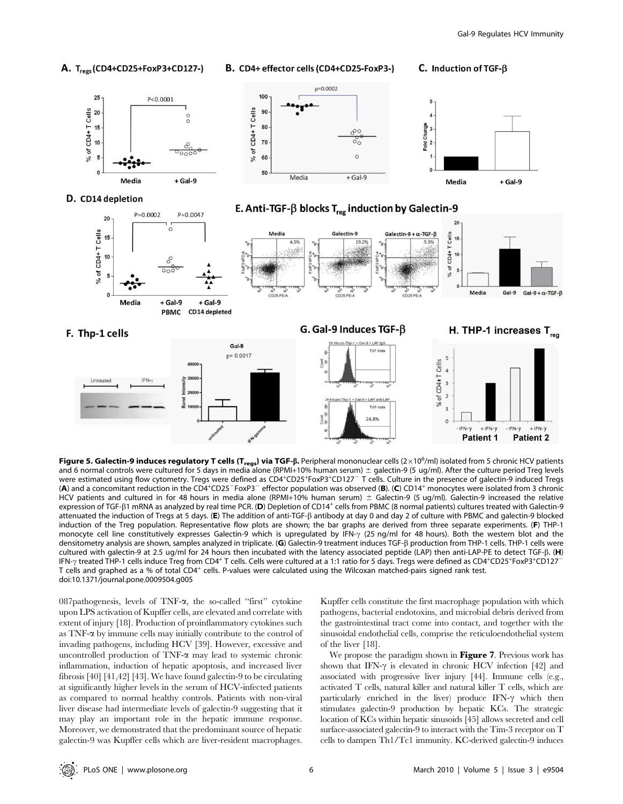

Figure 5. Galectin-9 induces regulatory T cells (T<sub>regs</sub>) via TGF-ß. Peripheral mononuclear cells (2×10<sup>6</sup>/ml) isolated from 5 chronic HCV patients and 6 normal controls were cultured for 5 days in media alone (RPMI+10% human serum)  $\pm$  galectin-9 (5 ug/ml). After the culture period Treg levels were estimated using flow cytometry. Tregs were defined as CD4<sup>+</sup>CD25<sup>+</sup>FoxP3<sup>+</sup>CD127<sup>-</sup> T cells. Culture in the presence of galectin-9 induced Tregs (A) and a concomitant reduction in the CD4<sup>+</sup>CD25<sup>-</sup>FoxP3<sup>-</sup> effector population was observed (B). (C) CD14<sup>+</sup> monocytes were isolated from 3 chronic HCV patients and cultured in for 48 hours in media alone (RPMI+10% human serum)  $\pm$  Galectin-9 (5 ug/ml). Galectin-9 increased the relative expression of TGF- $\beta$ 1 mRNA as analyzed by real time PCR. (D) Depletion of CD14<sup>+</sup> cells from PBMC (8 normal patients) cultures treated with Galectin-9 attenuated the induction of Tregs at 5 days. (E) The addition of anti-TGF-b antibody at day 0 and day 2 of culture with PBMC and galectin-9 blocked induction of the Treg population. Representative flow plots are shown; the bar graphs are derived from three separate experiments. (F) THP-1 monocyte cell line constitutively expresses Galectin-9 which is upregulated by IFN- $\gamma$  (25 ng/ml for 48 hours). Both the western blot and the densitometry analysis are shown, samples analyzed in triplicate. (G) Galectin-9 treatment induces TGF- $\beta$  production from THP-1 cells. THP-1 cells were cultured with galectin-9 at 2.5 ug/ml for 24 hours then incubated with the latency associated peptide (LAP) then anti-LAP-PE to detect TGF- $\beta$ . (H) IFN-y treated THP-1 cells induce Treg from CD4+ T cells. Cells were cultured at a 1:1 ratio for 5 days. Tregs were defined as CD4+CD25+FoxP3+CD127 T cells and graphed as a % of total CD4<sup>+</sup> cells. P-values were calculated using the Wilcoxan matched-pairs signed rank test. doi:10.1371/journal.pone.0009504.g005

087pathogenesis, levels of TNF- $\alpha$ , the so-called "first" cytokine upon LPS activation of Kupffer cells, are elevated and correlate with extent of injury [18]. Production of proinflammatory cytokines such as TNF-a by immune cells may initially contribute to the control of invading pathogens, including HCV [39]. However, excessive and uncontrolled production of TNF-a may lead to systemic chronic inflammation, induction of hepatic apoptosis, and increased liver fibrosis [40] [41,42] [43]. We have found galectin-9 to be circulating at significantly higher levels in the serum of HCV-infected patients as compared to normal healthy controls. Patients with non-viral liver disease had intermediate levels of galectin-9 suggesting that it may play an important role in the hepatic immune response. Moreover, we demonstrated that the predominant source of hepatic galectin-9 was Kupffer cells which are liver-resident macrophages.

Kupffer cells constitute the first macrophage population with which pathogens, bacterial endotoxins, and microbial debris derived from the gastrointestinal tract come into contact, and together with the sinusoidal endothelial cells, comprise the reticuloendothelial system of the liver [18].

We propose the paradigm shown in **Figure 7**. Previous work has shown that IFN- $\gamma$  is elevated in chronic HCV infection [42] and associated with progressive liver injury [44]. Immune cells (e.g., activated T cells, natural killer and natural killer T cells, which are particularly enriched in the liver) produce IFN- $\gamma$  which then stimulates galectin-9 production by hepatic KCs. The strategic location of KCs within hepatic sinusoids [45] allows secreted and cell surface-associated galectin-9 to interact with the Tim-3 receptor on T cells to dampen Th1/Tc1 immunity. KC-derived galectin-9 induces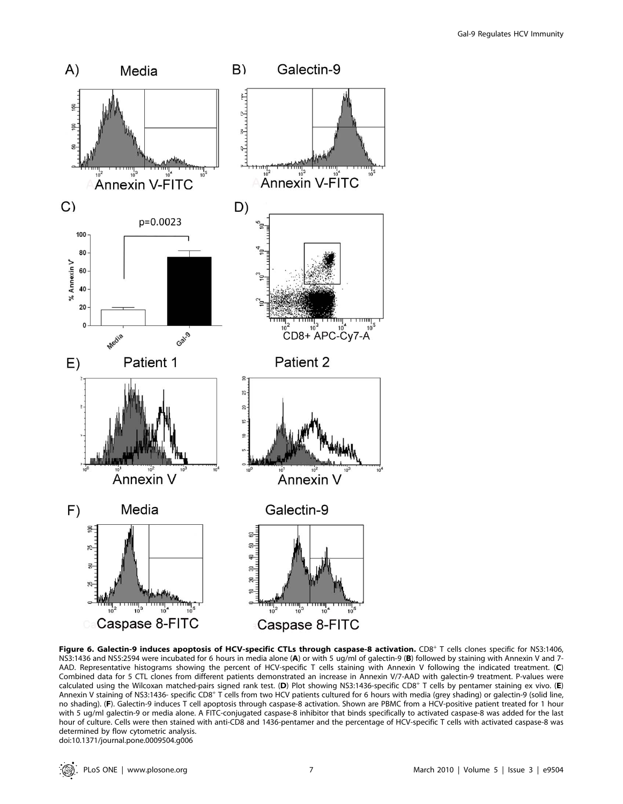

Figure 6. Galectin-9 induces apoptosis of HCV-specific CTLs through caspase-8 activation. CD8<sup>+</sup> T cells clones specific for NS3:1406, NS3:1436 and NS5:2594 were incubated for 6 hours in media alone (A) or with 5 ug/ml of galectin-9 (B) followed by staining with Annexin V and 7-AAD. Representative histograms showing the percent of HCV-specific T cells staining with Annexin V following the indicated treatment. (C) Combined data for 5 CTL clones from different patients demonstrated an increase in Annexin V/7-AAD with galectin-9 treatment. P-values were calculated using the Wilcoxan matched-pairs signed rank test. (D) Plot showing NS3:1436-specific CD8<sup>+</sup> T cells by pentamer staining ex vivo. (E) Annexin V staining of NS3:1436- specific CD8<sup>+</sup> T cells from two HCV patients cultured for 6 hours with media (grey shading) or galectin-9 (solid line, no shading). (F). Galectin-9 induces T cell apoptosis through caspase-8 activation. Shown are PBMC from a HCV-positive patient treated for 1 hour with 5 ug/ml galectin-9 or media alone. A FITC-conjugated caspase-8 inhibitor that binds specifically to activated caspase-8 was added for the last hour of culture. Cells were then stained with anti-CD8 and 1436-pentamer and the percentage of HCV-specific T cells with activated caspase-8 was determined by flow cytometric analysis. doi:10.1371/journal.pone.0009504.g006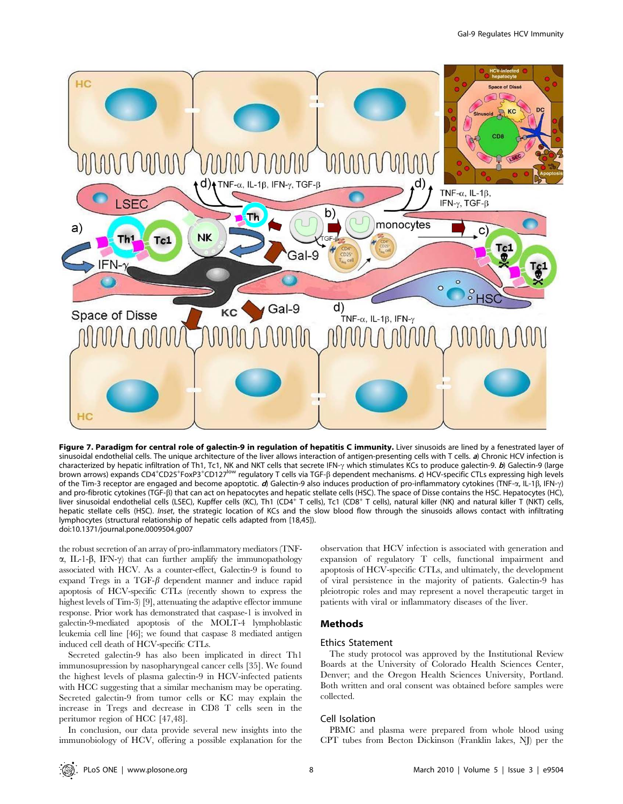

Figure 7. Paradigm for central role of galectin-9 in regulation of hepatitis C immunity. Liver sinusoids are lined by a fenestrated layer of sinusoidal endothelial cells. The unique architecture of the liver allows interaction of antigen-presenting cells with T cells. a) Chronic HCV infection is characterized by hepatic infiltration of Th1, Tc1, NK and NKT cells that secrete IFN- $\gamma$  which stimulates KCs to produce galectin-9. b) Galectin-9 (large brown arrows) expands CD4<sup>+</sup>CD25<sup>+</sup>FoxP3<sup>+</sup>CD127<sup>low</sup> regulatory T cells via TGF-ß dependent mechanisms. d) HCV-specific CTLs expressing high levels of the Tim-3 receptor are engaged and become apoptotic. d) Galectin-9 also induces production of pro-inflammatory cytokines (TNF- $\alpha$ , IL-1 $\beta$ , IFN- $\gamma$ ) and pro-fibrotic cytokines (TGF-ß) that can act on hepatocytes and hepatic stellate cells (HSC). The space of Disse contains the HSC. Hepatocytes (HC), liver sinusoidal endothelial cells (LSEC), Kupffer cells (KC), Th1 (CD4<sup>+</sup> T cells), Tc1 (CD8<sup>+</sup> T cells), natural killer (NK) and natural killer T (NKT) cells, hepatic stellate cells (HSC). Inset, the strategic location of KCs and the slow blood flow through the sinusoids allows contact with infiltrating lymphocytes (structural relationship of hepatic cells adapted from [18,45]). doi:10.1371/journal.pone.0009504.g007

the robust secretion of an array of pro-inflammatory mediators (TNF- $\alpha$ , IL-1- $\beta$ , IFN- $\gamma$ ) that can further amplify the immunopathology associated with HCV. As a counter-effect, Galectin-9 is found to expand Tregs in a TGF- $\beta$  dependent manner and induce rapid apoptosis of HCV-specific CTLs (recently shown to express the highest levels of Tim-3) [9], attenuating the adaptive effector immune response. Prior work has demonstrated that caspase-1 is involved in galectin-9-mediated apoptosis of the MOLT-4 lymphoblastic leukemia cell line [46]; we found that caspase 8 mediated antigen induced cell death of HCV-specific CTLs.

Secreted galectin-9 has also been implicated in direct Th1 immunosupression by nasopharyngeal cancer cells [35]. We found the highest levels of plasma galectin-9 in HCV-infected patients with HCC suggesting that a similar mechanism may be operating. Secreted galectin-9 from tumor cells or KC may explain the increase in Tregs and decrease in CD8 T cells seen in the peritumor region of HCC [47,48].

In conclusion, our data provide several new insights into the immunobiology of HCV, offering a possible explanation for the

observation that HCV infection is associated with generation and expansion of regulatory T cells, functional impairment and apoptosis of HCV-specific CTLs, and ultimately, the development of viral persistence in the majority of patients. Galectin-9 has pleiotropic roles and may represent a novel therapeutic target in patients with viral or inflammatory diseases of the liver.

## Methods

## Ethics Statement

The study protocol was approved by the Institutional Review Boards at the University of Colorado Health Sciences Center, Denver; and the Oregon Health Sciences University, Portland. Both written and oral consent was obtained before samples were collected.

## Cell Isolation

PBMC and plasma were prepared from whole blood using CPT tubes from Becton Dickinson (Franklin lakes, NJ) per the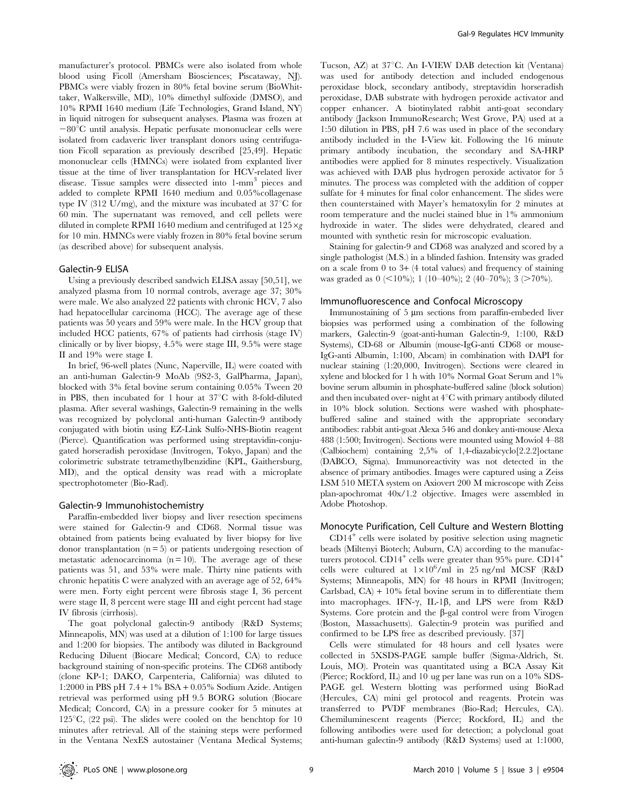manufacturer's protocol. PBMCs were also isolated from whole blood using Ficoll (Amersham Biosciences; Piscataway, NJ). PBMCs were viably frozen in 80% fetal bovine serum (BioWhittaker, Walkersville, MD), 10% dimethyl sulfoxide (DMSO), and 10% RPMI 1640 medium (Life Technologies, Grand Island, NY) in liquid nitrogen for subsequent analyses. Plasma was frozen at  $-80^{\circ}$ C until analysis. Hepatic perfusate mononuclear cells were isolated from cadaveric liver transplant donors using centrifugation Ficoll separation as previously described [25,49]. Hepatic mononuclear cells (HMNCs) were isolated from explanted liver tissue at the time of liver transplantation for HCV-related liver disease. Tissue samples were dissected into 1-mm<sup>3</sup> pieces and added to complete RPMI 1640 medium and 0.05%collagenase type IV (312 U/mg), and the mixture was incubated at  $37^{\circ}$ C for 60 min. The supernatant was removed, and cell pellets were diluted in complete RPMI 1640 medium and centrifuged at  $125 \times g$ for 10 min. HMNCs were viably frozen in 80% fetal bovine serum (as described above) for subsequent analysis.

## Galectin-9 ELISA

Using a previously described sandwich ELISA assay [50,51], we analyzed plasma from 10 normal controls, average age 37; 30% were male. We also analyzed 22 patients with chronic HCV, 7 also had hepatocellular carcinoma (HCC). The average age of these patients was 50 years and 59% were male. In the HCV group that included HCC patients, 67% of patients had cirrhosis (stage IV) clinically or by liver biopsy, 4.5% were stage III, 9.5% were stage II and 19% were stage I.

In brief, 96-well plates (Nunc, Naperville, IL) were coated with an anti-human Galectin-9 MoAb (9S2-3, GalPharma, Japan), blocked with 3% fetal bovine serum containing 0.05% Tween 20 in PBS, then incubated for 1 hour at  $37^{\circ}$ C with 8-fold-diluted plasma. After several washings, Galectin-9 remaining in the wells was recognized by polyclonal anti-human Galectin-9 antibody conjugated with biotin using EZ-Link Sulfo-NHS-Biotin reagent (Pierce). Quantification was performed using streptavidin-conjugated horseradish peroxidase (Invitrogen, Tokyo, Japan) and the colorimetric substrate tetramethylbenzidine (KPL, Gaithersburg, MD), and the optical density was read with a microplate spectrophotometer (Bio-Rad).

#### Galectin-9 Immunohistochemistry

Paraffin-embedded liver biopsy and liver resection specimens were stained for Galectin-9 and CD68. Normal tissue was obtained from patients being evaluated by liver biopsy for live donor transplantation  $(n = 5)$  or patients undergoing resection of metastatic adenocarcinoma  $(n = 10)$ . The average age of these patients was 51, and 53% were male. Thirty nine patients with chronic hepatitis C were analyzed with an average age of 52, 64% were men. Forty eight percent were fibrosis stage I, 36 percent were stage II, 8 percent were stage III and eight percent had stage IV fibrosis (cirrhosis).

The goat polyclonal galectin-9 antibody (R&D Systems; Minneapolis, MN) was used at a dilution of 1:100 for large tissues and 1:200 for biopsies. The antibody was diluted in Background Reducing Diluent (Biocare Medical; Concord, CA) to reduce background staining of non-specific proteins. The CD68 antibody (clone KP-1; DAKO, Carpenteria, California) was diluted to 1:2000 in PBS pH 7.4 + 1% BSA + 0.05% Sodium Azide. Antigen retrieval was performed using pH 9.5 BORG solution (Biocare Medical; Concord, CA) in a pressure cooker for 5 minutes at  $125^{\circ}C$ ,  $(22 \text{ psi})$ . The slides were cooled on the benchtop for 10 minutes after retrieval. All of the staining steps were performed in the Ventana NexES autostainer (Ventana Medical Systems; Tucson, AZ) at 37°C. An I-VIEW DAB detection kit (Ventana) was used for antibody detection and included endogenous peroxidase block, secondary antibody, streptavidin horseradish peroxidase, DAB substrate with hydrogen peroxide activator and copper enhancer. A biotinylated rabbit anti-goat secondary antibody (Jackson ImmunoResearch; West Grove, PA) used at a 1:50 dilution in PBS, pH 7.6 was used in place of the secondary antibody included in the I-View kit. Following the 16 minute primary antibody incubation, the secondary and SA-HRP antibodies were applied for 8 minutes respectively. Visualization was achieved with DAB plus hydrogen peroxide activator for 5 minutes. The process was completed with the addition of copper sulfate for 4 minutes for final color enhancement. The slides were then counterstained with Mayer's hematoxylin for 2 minutes at room temperature and the nuclei stained blue in 1% ammonium hydroxide in water. The slides were dehydrated, cleared and mounted with synthetic resin for microscopic evaluation.

Staining for galectin-9 and CD68 was analyzed and scored by a single pathologist (M.S.) in a blinded fashion. Intensity was graded on a scale from  $0$  to  $3+$  (4 total values) and frequency of staining was graded as  $0 \leq 10\%$ ; 1 (10–40%); 2 (40–70%); 3 (>70%).

#### Immunofluorescence and Confocal Microscopy

Immunostaining of 5 µm sections from paraffin-embeded liver biopsies was performed using a combination of the following markers, Galectin-9 (goat-anti-human Galectin-9, 1:100, R&D Systems), CD-68 or Albumin (mouse-IgG-anti CD68 or mouse-IgG-anti Albumin, 1:100, Abcam) in combination with DAPI for nuclear staining (1:20,000, Invitrogen). Sections were cleared in xylene and blocked for 1 h with 10% Normal Goat Serum and 1% bovine serum albumin in phosphate-buffered saline (block solution) and then incubated over- night at  $4^{\circ}$ C with primary antibody diluted in 10% block solution. Sections were washed with phosphatebuffered saline and stained with the appropriate secondary antibodies: rabbit anti-goat Alexa 546 and donkey anti-mouse Alexa 488 (1:500; Invitrogen). Sections were mounted using Mowiol 4–88 (Calbiochem) containing 2,5% of 1,4-diazabicyclo[2.2.2]octane (DABCO, Sigma). Immunoreactivity was not detected in the absence of primary antibodies. Images were captured using a Zeiss LSM 510 META system on Axiovert 200 M microscope with Zeiss plan-apochromat 40x/1.2 objective. Images were assembled in Adobe Photoshop.

#### Monocyte Purification, Cell Culture and Western Blotting

 $CD14<sup>+</sup>$  cells were isolated by positive selection using magnetic beads (Miltenyi Biotech; Auburn, CA) according to the manufacturers protocol.  $CD14^+$  cells were greater than 95% pure.  $CD14^+$ cells were cultured at  $1 \times 10^6$ /ml in 25 ng/ml MCSF (R&D Systems; Minneapolis, MN) for 48 hours in RPMI (Invitrogen; Carlsbad,  $CA$ ) + 10% fetal bovine serum in to differentiate them into macrophages. IFN- $\gamma$ , IL-1 $\beta$ , and LPS were from R&D Systems. Core protein and the  $\beta$ -gal control were from Virogen (Boston, Massachusetts). Galectin-9 protein was purified and confirmed to be LPS free as described previously. [37]

Cells were stimulated for 48 hours and cell lysates were collected in 5XSDS-PAGE sample buffer (Sigma-Aldrich, St. Louis, MO). Protein was quantitated using a BCA Assay Kit (Pierce; Rockford, IL) and 10 ug per lane was run on a 10% SDS-PAGE gel. Western blotting was performed using BioRad (Hercules, CA) mini gel protocol and reagents. Protein was transferred to PVDF membranes (Bio-Rad; Hercules, CA). Chemiluminescent reagents (Pierce; Rockford, IL) and the following antibodies were used for detection; a polyclonal goat anti-human galectin-9 antibody (R&D Systems) used at 1:1000,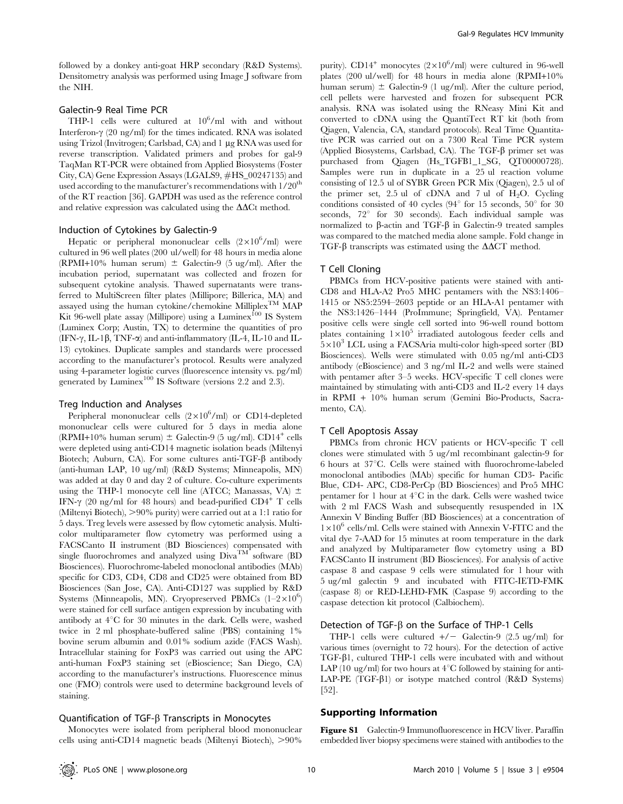followed by a donkey anti-goat HRP secondary (R&D Systems). Densitometry analysis was performed using Image J software from the NIH.

## Galectin-9 Real Time PCR

THP-1 cells were cultured at  $10^6$ /ml with and without Interferon- $\gamma$  (20 ng/ml) for the times indicated. RNA was isolated using Trizol (Invitrogen; Carlsbad, CA) and 1 µg RNA was used for reverse transcription. Validated primers and probes for gal-9 TaqMan RT-PCR were obtained from Applied Biosystems (Foster City, CA) Gene Expression Assays (LGALS9, #HS\_00247135) and used according to the manufacturer's recommendations with  $1/20^{th}$ of the RT reaction [36]. GAPDH was used as the reference control and relative expression was calculated using the  $\Delta\Delta$ Ct method.

#### Induction of Cytokines by Galectin-9

Hepatic or peripheral mononuclear cells  $(2\times10^6/\text{ml})$  were cultured in 96 well plates (200 ul/well) for 48 hours in media alone (RPMI+10% human serum)  $\pm$  Galectin-9 (5 ug/ml). After the incubation period, supernatant was collected and frozen for subsequent cytokine analysis. Thawed supernatants were transferred to MultiScreen filter plates (Millipore; Billerica, MA) and assayed using the human cytokine/chemokine Milliplex<sup>TM</sup> MAP Kit 96-well plate assay (Millipore) using a Luminex<sup>100</sup> IS System (Luminex Corp; Austin, TX) to determine the quantities of pro (IFN- $\gamma$ , IL-1 $\beta$ , TNF- $\alpha$ ) and anti-inflammatory (IL-4, IL-10 and IL-13) cytokines. Duplicate samples and standards were processed according to the manufacturer's protocol. Results were analyzed using 4-parameter logistic curves (fluorescence intensity vs. pg/ml) generated by Luminex<sup>100</sup> IS Software (versions 2.2 and 2.3).

## Treg Induction and Analyses

Peripheral mononuclear cells  $(2 \times 10^6$ /ml) or CD14-depleted mononuclear cells were cultured for 5 days in media alone (RPMI+10% human serum)  $\pm$  Galectin-9 (5 ug/ml). CD14<sup>+</sup> cells were depleted using anti-CD14 magnetic isolation beads (Miltenyi Biotech; Auburn, CA). For some cultures anti-TGF- $\beta$  antibody (anti-human LAP, 10 ug/ml) (R&D Systems; Minneapolis, MN) was added at day 0 and day 2 of culture. Co-culture experiments using the THP-1 monocyte cell line (ATCC; Manassas, VA)  $\pm$ IFN- $\gamma$  (20 ng/ml for 48 hours) and bead-purified CD4<sup>+</sup> T cells (Miltenyi Biotech),  $>90\%$  purity) were carried out at a 1:1 ratio for 5 days. Treg levels were assessed by flow cytometic analysis. Multicolor multiparameter flow cytometry was performed using a FACSCanto II instrument (BD Biosciences) compensated with single fluorochromes and analyzed using  $\dot{Diva}^{TM}$  software (BD Biosciences). Fluorochrome-labeled monoclonal antibodies (MAb) specific for CD3, CD4, CD8 and CD25 were obtained from BD Biosciences (San Jose, CA). Anti-CD127 was supplied by R&D Systems (Minneapolis, MN). Cryopreserved PBMCs  $(1-2\times10^6)$ were stained for cell surface antigen expression by incubating with antibody at  $4^{\circ}$ C for 30 minutes in the dark. Cells were, washed twice in 2 ml phosphate-buffered saline (PBS) containing 1% bovine serum albumin and 0.01% sodium azide (FACS Wash). Intracellular staining for FoxP3 was carried out using the APC anti-human FoxP3 staining set (eBioscience; San Diego, CA) according to the manufacturer's instructions. Fluorescence minus one (FMO) controls were used to determine background levels of staining.

## Quantification of  $TGF-\beta$  Transcripts in Monocytes

Monocytes were isolated from peripheral blood mononuclear cells using anti-CD14 magnetic beads (Miltenyi Biotech),  $>90\%$ 

purity).  $CD14^+$  monocytes  $(2 \times 10^6/\text{ml})$  were cultured in 96-well plates (200 ul/well) for 48 hours in media alone (RPMI+10% human serum)  $\pm$  Galectin-9 (1 ug/ml). After the culture period, cell pellets were harvested and frozen for subsequent PCR analysis. RNA was isolated using the RNeasy Mini Kit and converted to cDNA using the QuantiTect RT kit (both from Qiagen, Valencia, CA, standard protocols). Real Time Quantitative PCR was carried out on a 7300 Real Time PCR system (Applied Biosystems, Carlsbad, CA). The TGF- $\beta$  primer set was purchased from Qiagen (Hs\_TGFB1\_1\_SG, QT00000728). Samples were run in duplicate in a 25 ul reaction volume consisting of 12.5 ul of SYBR Green PCR Mix (Qiagen), 2.5 ul of the primer set,  $2.5$  ul of cDNA and 7 ul of  $H_2O$ . Cycling conditions consisted of 40 cycles (94 $\degree$  for 15 seconds, 50 $\degree$  for 30 seconds,  $72^{\circ}$  for 30 seconds). Each individual sample was normalized to B-actin and TGF-B in Galectin-9 treated samples was compared to the matched media alone sample. Fold change in TGF- $\beta$  transcripts was estimated using the  $\Delta \Delta CT$  method.

## T Cell Cloning

PBMCs from HCV-positive patients were stained with anti-CD8 and HLA-A2 Pro5 MHC pentamers with the NS3:1406– 1415 or NS5:2594–2603 peptide or an HLA-A1 pentamer with the NS3:1426–1444 (ProImmune; Springfield, VA). Pentamer positive cells were single cell sorted into 96-well round bottom plates containing  $1\times10^5$  irradiated autologous feeder cells and  $5\times10^3$  LCL using a FACSAria multi-color high-speed sorter (BD Biosciences). Wells were stimulated with 0.05 ng/ml anti-CD3 antibody (eBioscience) and 3 ng/ml IL-2 and wells were stained with pentamer after 3–5 weeks. HCV-specific T cell clones were maintained by stimulating with anti-CD3 and IL-2 every 14 days in RPMI + 10% human serum (Gemini Bio-Products, Sacramento, CA).

## T Cell Apoptosis Assay

PBMCs from chronic HCV patients or HCV-specific T cell clones were stimulated with 5 ug/ml recombinant galectin-9 for  $6$  hours at  $37^{\circ}$ C. Cells were stained with fluorochrome-labeled monoclonal antibodies (MAb) specific for human CD3- Pacific Blue, CD4- APC, CD8-PerCp (BD Biosciences) and Pro5 MHC pentamer for 1 hour at  $4^{\circ}$ C in the dark. Cells were washed twice with 2 ml FACS Wash and subsequently resuspended in 1X Annexin V Binding Buffer (BD Biosciences) at a concentration of  $1\times10^6$  cells/ml. Cells were stained with Annexin V-FITC and the vital dye 7-AAD for 15 minutes at room temperature in the dark and analyzed by Multiparameter flow cytometry using a BD FACSCanto II instrument (BD Biosciences). For analysis of active caspase 8 and caspase 9 cells were stimulated for 1 hour with 5 ug/ml galectin 9 and incubated with FITC-IETD-FMK (caspase 8) or RED-LEHD-FMK (Caspase 9) according to the caspase detection kit protocol (Calbiochem).

## Detection of TGF- $\beta$  on the Surface of THP-1 Cells

THP-1 cells were cultured  $+/-$  Galectin-9 (2.5 ug/ml) for various times (overnight to 72 hours). For the detection of active TGF-b1, cultured THP-1 cells were incubated with and without LAP (10 ug/ml) for two hours at  $4^{\circ}$ C followed by staining for anti-LAP-PE  $(TGF- $\beta$ 1)$  or isotype matched control (R&D Systems) [52].

## Supporting Information

Figure S1 Galectin-9 Immunofluorescence in HCV liver. Paraffin embedded liver biopsy specimens were stained with antibodies to the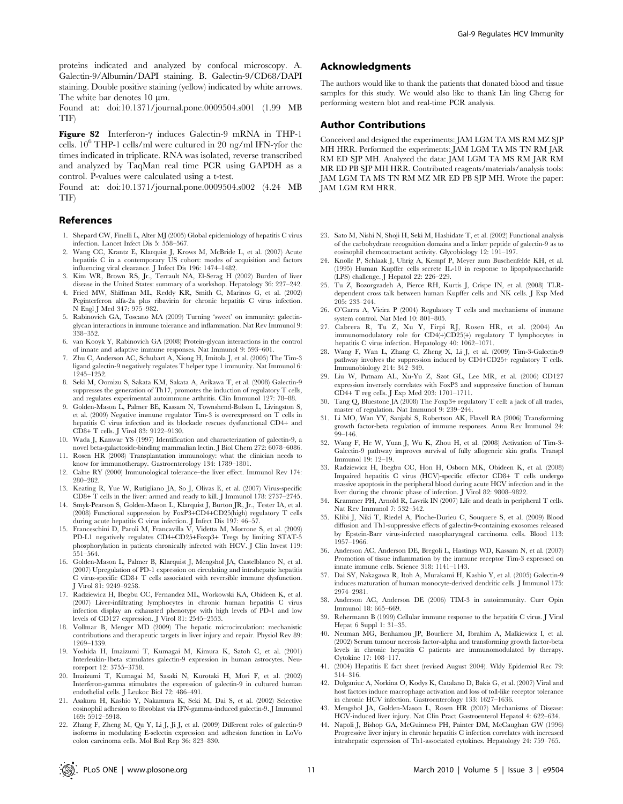proteins indicated and analyzed by confocal microscopy. A. Galectin-9/Albumin/DAPI staining. B. Galectin-9/CD68/DAPI staining. Double positive staining (yellow) indicated by white arrows. The white bar denotes 10  $\mu$ m.

Found at: doi:10.1371/journal.pone.0009504.s001 (1.99 MB TIF)

Figure S2 Interferon- $\gamma$  induces Galectin-9 mRNA in THP-1 cells.  $10^6$  THP-1 cells/ml were cultured in 20 ng/ml IFN- $\gamma$  for the times indicated in triplicate. RNA was isolated, reverse transcribed and analyzed by TaqMan real time PCR using GAPDH as a control. P-values were calculated using a t-test.

Found at: doi:10.1371/journal.pone.0009504.s002 (4.24 MB TIF)

## References

- 1. Shepard CW, Finelli L, Alter MJ (2005) Global epidemiology of hepatitis C virus infection. Lancet Infect Dis 5: 558–567.
- 2. Wang CC, Krantz E, Klarquist J, Krows M, McBride L, et al. (2007) Acute hepatitis C in a contemporary US cohort: modes of acquisition and factors influencing viral clearance. J Infect Dis 196: 1474–1482.
- 3. Kim WR, Brown RS, Jr., Terrault NA, El-Serag H (2002) Burden of liver disease in the United States: summary of a workshop. Hepatology 36: 227–242.
- 4. Fried MW, Shiffman ML, Reddy KR, Smith C, Marinos G, et al. (2002) Peginterferon alfa-2a plus ribavirin for chronic hepatitis C virus infection. N Engl J Med 347: 975–982.
- 5. Rabinovich GA, Toscano MA (2009) Turning 'sweet' on immunity: galectinglycan interactions in immune tolerance and inflammation. Nat Rev Immunol 9: 338–352.
- 6. van Kooyk Y, Rabinovich GA (2008) Protein-glycan interactions in the control of innate and adaptive immune responses. Nat Immunol 9: 593–601.
- 7. Zhu C, Anderson AC, Schubart A, Xiong H, Imitola J, et al. (2005) The Tim-3 ligand galectin-9 negatively regulates T helper type 1 immunity. Nat Immunol 6: 1245–1252.
- 8. Seki M, Oomizu S, Sakata KM, Sakata A, Arikawa T, et al. (2008) Galectin-9 suppresses the generation of Th17, promotes the induction of regulatory T cells, and regulates experimental autoimmune arthritis. Clin Immunol 127: 78–88.
- 9. Golden-Mason L, Palmer BE, Kassam N, Townshend-Bulson L, Livingston S, et al. (2009) Negative immune regulator Tim-3 is overexpressed on T cells in hepatitis C virus infection and its blockade rescues dysfunctional CD4+ and CD8+ T cells. J Virol 83: 9122–9130.
- 10. Wada J, Kanwar YS (1997) Identification and characterization of galectin-9, a novel beta-galactoside-binding mammalian lectin. J Biol Chem 272: 6078–6086.
- 11. Rosen HR (2008) Transplantation immunology: what the clinician needs to know for immunotherapy. Gastroenterology 134: 1789–1801.
- 12. Calne RY (2000) Immunological tolerance–the liver effect. Immunol Rev 174: 280–282.
- 13. Keating R, Yue W, Rutigliano JA, So J, Olivas E, et al. (2007) Virus-specific CD8+ T cells in the liver: armed and ready to kill. J Immunol 178: 2737–2745.
- 14. Smyk-Pearson S, Golden-Mason L, Klarquist J, Burton JR, Jr., Tester IA, et al. (2008) Functional suppression by FoxP3+CD4+CD25(high) regulatory T cells during acute hepatitis C virus infection. J Infect Dis 197: 46–57.
- 15. Franceschini D, Paroli M, Francavilla V, Videtta M, Morrone S, et al. (2009) PD-L1 negatively regulates CD4+CD25+Foxp3+ Tregs by limiting STAT-5 phosphorylation in patients chronically infected with HCV. J Clin Invest 119: 551–564.
- 16. Golden-Mason L, Palmer B, Klarquist J, Mengshol JA, Castelblanco N, et al. (2007) Upregulation of PD-1 expression on circulating and intrahepatic hepatitis C virus-specific CD8+ T cells associated with reversible immune dysfunction. J Virol 81: 9249–9258.
- 17. Radziewicz H, Ibegbu CC, Fernandez ML, Workowski KA, Obideen K, et al. (2007) Liver-infiltrating lymphocytes in chronic human hepatitis C virus infection display an exhausted phenotype with high levels of PD-1 and low levels of CD127 expression. J Virol 81: 2545–2553.
- 18. Vollmar B, Menger MD (2009) The hepatic microcirculation: mechanistic contributions and therapeutic targets in liver injury and repair. Physiol Rev 89: 1269–1339.
- 19. Yoshida H, Imaizumi T, Kumagai M, Kimura K, Satoh C, et al. (2001) Interleukin-1beta stimulates galectin-9 expression in human astrocytes. Neuroreport 12: 3755–3758.
- 20. Imaizumi T, Kumagai M, Sasaki N, Kurotaki H, Mori F, et al. (2002) Interferon-gamma stimulates the expression of galectin-9 in cultured human endothelial cells. J Leukoc Biol 72: 486–491.
- 21. Asakura H, Kashio Y, Nakamura K, Seki M, Dai S, et al. (2002) Selective eosinophil adhesion to fibroblast via IFN-gamma-induced galectin-9. J Immunol 169: 5912–5918.
- 22. Zhang F, Zheng M, Qu Y, Li J, Ji J, et al. (2009) Different roles of galectin-9 isoforms in modulating E-selectin expression and adhesion function in LoVo colon carcinoma cells. Mol Biol Rep 36: 823–830.

## Acknowledgments

The authors would like to thank the patients that donated blood and tissue samples for this study. We would also like to thank Lin ling Cheng for performing western blot and real-time PCR analysis.

## Author Contributions

Conceived and designed the experiments: JAM LGM TA MS RM MZ SJP MH HRR. Performed the experiments: JAM LGM TA MS TN RM JAR RM ED SJP MH. Analyzed the data: JAM LGM TA MS RM JAR RM MR ED PB SJP MH HRR. Contributed reagents/materials/analysis tools: JAM LGM TA MS TN RM MZ MR ED PB SJP MH. Wrote the paper: JAM LGM RM HRR.

- 23. Sato M, Nishi N, Shoji H, Seki M, Hashidate T, et al. (2002) Functional analysis of the carbohydrate recognition domains and a linker peptide of galectin-9 as to eosinophil chemoattractant activity. Glycobiology 12: 191–197.
- 24. Knolle P, Schlaak J, Uhrig A, Kempf P, Meyer zum Buschenfelde KH, et al. (1995) Human Kupffer cells secrete IL-10 in response to lipopolysaccharide (LPS) challenge. J Hepatol 22: 226–229.
- 25. Tu Z, Bozorgzadeh A, Pierce RH, Kurtis J, Crispe IN, et al. (2008) TLRdependent cross talk between human Kupffer cells and NK cells. J Exp Med 205: 233–244.
- 26. O'Garra A, Vieira P (2004) Regulatory T cells and mechanisms of immune system control. Nat Med 10: 801–805.
- 27. Cabrera R, Tu Z, Xu Y, Firpi RJ, Rosen HR, et al. (2004) An immunomodulatory role for CD4(+)CD25(+) regulatory T lymphocytes in hepatitis C virus infection. Hepatology 40:  $1062-1071$ .
- 28. Wang F, Wan L, Zhang C, Zheng X, Li J, et al. (2009) Tim-3-Galectin-9 pathway involves the suppression induced by CD4+CD25+ regulatory T cells. Immunobiology 214: 342–349.
- 29. Liu W, Putnam AL, Xu-Yu Z, Szot GL, Lee MR, et al. (2006) CD127 expression inversely correlates with FoxP3 and suppressive function of human CD4+ T reg cells. J Exp Med 203: 1701–1711.
- 30. Tang Q, Bluestone JA (2008) The Foxp3+ regulatory T cell: a jack of all trades, master of regulation. Nat Immunol 9: 239–244.
- 31. Li MO, Wan YY, Sanjabi S, Robertson AK, Flavell RA (2006) Transforming growth factor-beta regulation of immune responses. Annu Rev Immunol 24: 99–146.
- 32. Wang F, He W, Yuan J, Wu K, Zhou H, et al. (2008) Activation of Tim-3- Galectin-9 pathway improves survival of fully allogeneic skin grafts. Transpl Immunol 19: 12–19.
- 33. Radziewicz H, Ibegbu CC, Hon H, Osborn MK, Obideen K, et al. (2008) Impaired hepatitis C virus (HCV)-specific effector CD8+ T cells undergo massive apoptosis in the peripheral blood during acute HCV infection and in the liver during the chronic phase of infection. J Virol 82: 9808–9822.
- 34. Krammer PH, Arnold R, Lavrik IN (2007) Life and death in peripheral T cells. Nat Rev Immunol 7: 532–542.
- 35. Klibi J, Niki T, Riedel A, Pioche-Durieu C, Souquere S, et al. (2009) Blood diffusion and Th1-suppressive effects of galectin-9-containing exosomes released by Epstein-Barr virus-infected nasopharyngeal carcinoma cells. Blood 113: 1957–1966.
- 36. Anderson AC, Anderson DE, Bregoli L, Hastings WD, Kassam N, et al. (2007) Promotion of tissue inflammation by the immune receptor Tim-3 expressed on innate immune cells. Science 318: 1141–1143.
- 37. Dai SY, Nakagawa R, Itoh A, Murakami H, Kashio Y, et al. (2005) Galectin-9 induces maturation of human monocyte-derived dendritic cells. J Immunol 175: 2974–2981.
- 38. Anderson AC, Anderson DE (2006) TIM-3 in autoimmunity. Curr Opin Immunol 18: 665–669.
- 39. Rehermann B (1999) Cellular immune response to the hepatitis C virus. J Viral Hepat 6 Suppl 1: 31–35.
- 40. Neuman MG, Benhamou JP, Bourliere M, Ibrahim A, Malkiewicz I, et al. (2002) Serum tumour necrosis factor-alpha and transforming growth factor-beta levels in chronic hepatitis C patients are immunomodulated by therapy. Cytokine 17: 108–117.
- 41. (2004) Hepatitis E fact sheet (revised August 2004). Wkly Epidemiol Rec 79: 314–316.
- 42. Dolganiuc A, Norkina O, Kodys K, Catalano D, Bakis G, et al. (2007) Viral and host factors induce macrophage activation and loss of toll-like receptor tolerance in chronic HCV infection. Gastroenterology 133: 1627–1636.
- 43. Mengshol JA, Golden-Mason L, Rosen HR (2007) Mechanisms of Disease: HCV-induced liver injury. Nat Clin Pract Gastroenterol Hepatol 4: 622–634.
- 44. Napoli J, Bishop GA, McGuinness PH, Painter DM, McCaughan GW (1996) Progressive liver injury in chronic hepatitis C infection correlates with increased intrahepatic expression of Th1-associated cytokines. Hepatology 24: 759–765.